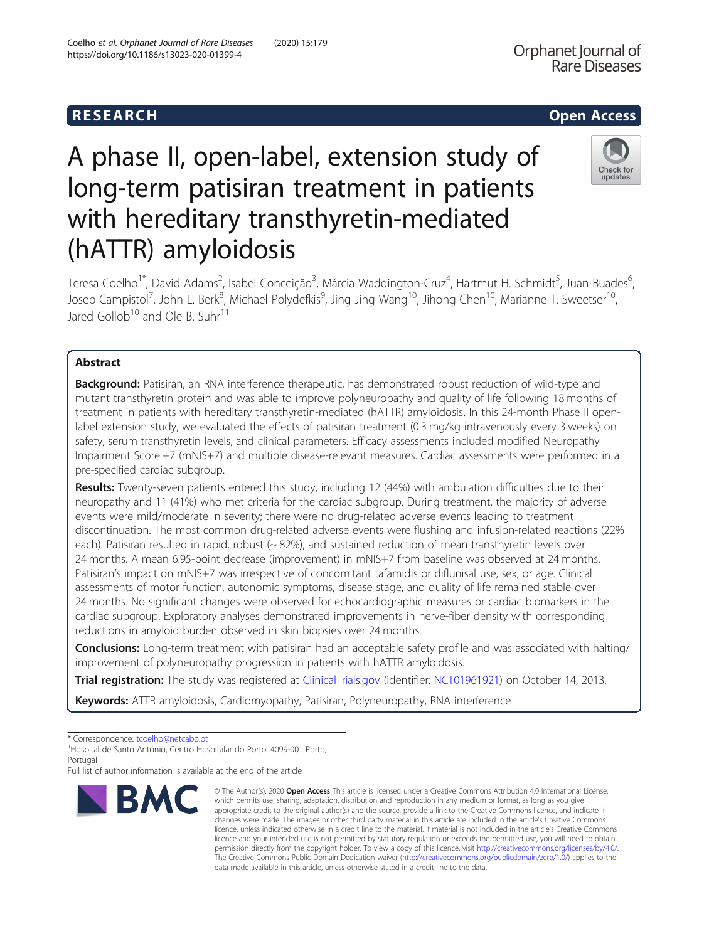## R E S EAR CH Open Access

# A phase II, open-label, extension study of long-term patisiran treatment in patients with hereditary transthyretin-mediated (hATTR) amyloidosis



Teresa Coelho<sup>1\*</sup>, David Adams<sup>2</sup>, Isabel Conceição<sup>3</sup>, Márcia Waddington-Cruz<sup>4</sup>, Hartmut H. Schmidt<sup>5</sup>, Juan Buades<sup>6</sup> , Josep Campistol<sup>7</sup>, John L. Berk<sup>8</sup>, Michael Polydefkis<sup>9</sup>, Jing Jing Wang<sup>10</sup>, Jihong Chen<sup>10</sup>, Marianne T. Sweetser<sup>10</sup>, Jared Gollob<sup>10</sup> and Ole B. Suhr<sup>11</sup>

## Abstract

Background: Patisiran, an RNA interference therapeutic, has demonstrated robust reduction of wild-type and mutant transthyretin protein and was able to improve polyneuropathy and quality of life following 18 months of treatment in patients with hereditary transthyretin-mediated (hATTR) amyloidosis. In this 24-month Phase II openlabel extension study, we evaluated the effects of patisiran treatment (0.3 mg/kg intravenously every 3 weeks) on safety, serum transthyretin levels, and clinical parameters. Efficacy assessments included modified Neuropathy Impairment Score +7 (mNIS+7) and multiple disease-relevant measures. Cardiac assessments were performed in a pre-specified cardiac subgroup.

Results: Twenty-seven patients entered this study, including 12 (44%) with ambulation difficulties due to their neuropathy and 11 (41%) who met criteria for the cardiac subgroup. During treatment, the majority of adverse events were mild/moderate in severity; there were no drug-related adverse events leading to treatment discontinuation. The most common drug-related adverse events were flushing and infusion-related reactions (22% each). Patisiran resulted in rapid, robust (~82%), and sustained reduction of mean transthyretin levels over 24 months. A mean 6.95-point decrease (improvement) in mNIS+7 from baseline was observed at 24 months. Patisiran's impact on mNIS+7 was irrespective of concomitant tafamidis or diflunisal use, sex, or age. Clinical assessments of motor function, autonomic symptoms, disease stage, and quality of life remained stable over 24 months. No significant changes were observed for echocardiographic measures or cardiac biomarkers in the cardiac subgroup. Exploratory analyses demonstrated improvements in nerve-fiber density with corresponding reductions in amyloid burden observed in skin biopsies over 24 months.

Conclusions: Long-term treatment with patisiran had an acceptable safety profile and was associated with halting/ improvement of polyneuropathy progression in patients with hATTR amyloidosis.

Trial registration: The study was registered at [ClinicalTrials.gov](http://clinicaltrials.gov) (identifier: [NCT01961921\)](https://clinicaltrials.gov/ct2/show/NCT01961921) on October 14, 2013.

Keywords: ATTR amyloidosis, Cardiomyopathy, Patisiran, Polyneuropathy, RNA interference

Full list of author information is available at the end of the article



<sup>©</sup> The Author(s), 2020 **Open Access** This article is licensed under a Creative Commons Attribution 4.0 International License, which permits use, sharing, adaptation, distribution and reproduction in any medium or format, as long as you give appropriate credit to the original author(s) and the source, provide a link to the Creative Commons licence, and indicate if changes were made. The images or other third party material in this article are included in the article's Creative Commons licence, unless indicated otherwise in a credit line to the material. If material is not included in the article's Creative Commons licence and your intended use is not permitted by statutory regulation or exceeds the permitted use, you will need to obtain permission directly from the copyright holder. To view a copy of this licence, visit [http://creativecommons.org/licenses/by/4.0/.](http://creativecommons.org/licenses/by/4.0/) The Creative Commons Public Domain Dedication waiver [\(http://creativecommons.org/publicdomain/zero/1.0/](http://creativecommons.org/publicdomain/zero/1.0/)) applies to the data made available in this article, unless otherwise stated in a credit line to the data.

<sup>\*</sup> Correspondence: [tcoelho@netcabo.pt](mailto:tcoelho@netcabo.pt) <sup>1</sup>

<sup>&</sup>lt;sup>1</sup> Hospital de Santo António, Centro Hospitalar do Porto, 4099-001 Porto, Portugal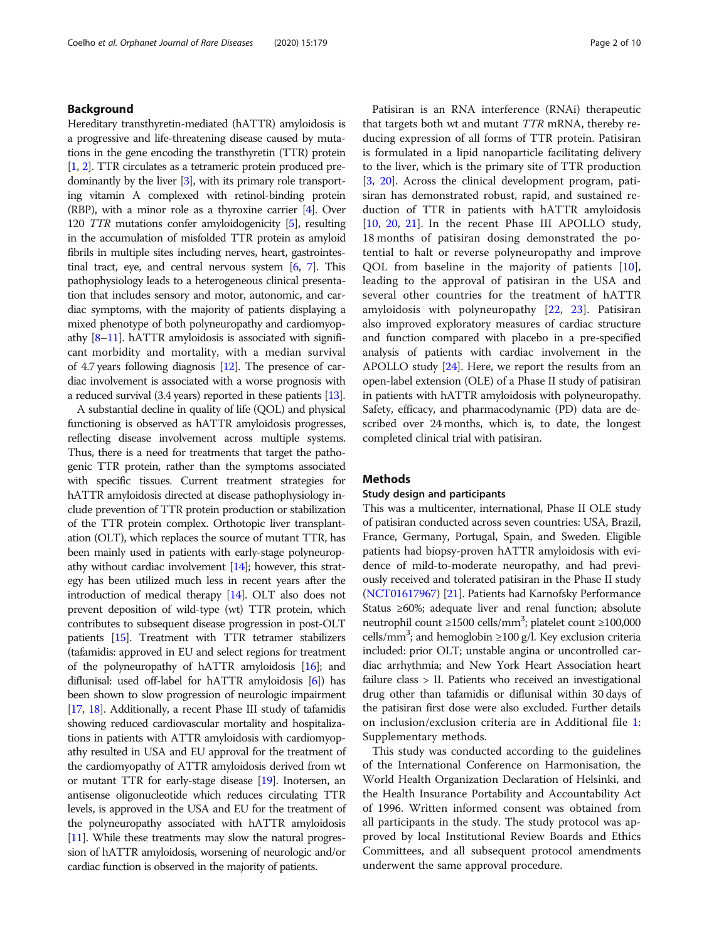#### Background

Hereditary transthyretin-mediated (hATTR) amyloidosis is a progressive and life-threatening disease caused by mutations in the gene encoding the transthyretin (TTR) protein [[1](#page-8-0), [2\]](#page-9-0). TTR circulates as a tetrameric protein produced predominantly by the liver [\[3](#page-9-0)], with its primary role transporting vitamin A complexed with retinol-binding protein (RBP), with a minor role as a thyroxine carrier [\[4\]](#page-9-0). Over 120 TTR mutations confer amyloidogenicity [[5](#page-9-0)], resulting in the accumulation of misfolded TTR protein as amyloid fibrils in multiple sites including nerves, heart, gastrointestinal tract, eye, and central nervous system [\[6,](#page-9-0) [7\]](#page-9-0). This pathophysiology leads to a heterogeneous clinical presentation that includes sensory and motor, autonomic, and cardiac symptoms, with the majority of patients displaying a mixed phenotype of both polyneuropathy and cardiomyopathy  $[8-11]$  $[8-11]$  $[8-11]$  $[8-11]$ . hATTR amyloidosis is associated with significant morbidity and mortality, with a median survival of 4.7 years following diagnosis [[12](#page-9-0)]. The presence of cardiac involvement is associated with a worse prognosis with a reduced survival (3.4 years) reported in these patients [[13](#page-9-0)].

A substantial decline in quality of life (QOL) and physical functioning is observed as hATTR amyloidosis progresses, reflecting disease involvement across multiple systems. Thus, there is a need for treatments that target the pathogenic TTR protein, rather than the symptoms associated with specific tissues. Current treatment strategies for hATTR amyloidosis directed at disease pathophysiology include prevention of TTR protein production or stabilization of the TTR protein complex. Orthotopic liver transplantation (OLT), which replaces the source of mutant TTR, has been mainly used in patients with early-stage polyneuropathy without cardiac involvement [\[14](#page-9-0)]; however, this strategy has been utilized much less in recent years after the introduction of medical therapy [\[14\]](#page-9-0). OLT also does not prevent deposition of wild-type (wt) TTR protein, which contributes to subsequent disease progression in post-OLT patients [\[15\]](#page-9-0). Treatment with TTR tetramer stabilizers (tafamidis: approved in EU and select regions for treatment of the polyneuropathy of hATTR amyloidosis [\[16\]](#page-9-0); and diflunisal: used off-label for hATTR amyloidosis [\[6\]](#page-9-0)) has been shown to slow progression of neurologic impairment [[17](#page-9-0), [18\]](#page-9-0). Additionally, a recent Phase III study of tafamidis showing reduced cardiovascular mortality and hospitalizations in patients with ATTR amyloidosis with cardiomyopathy resulted in USA and EU approval for the treatment of the cardiomyopathy of ATTR amyloidosis derived from wt or mutant TTR for early-stage disease [\[19\]](#page-9-0). Inotersen, an antisense oligonucleotide which reduces circulating TTR levels, is approved in the USA and EU for the treatment of the polyneuropathy associated with hATTR amyloidosis [[11](#page-9-0)]. While these treatments may slow the natural progression of hATTR amyloidosis, worsening of neurologic and/or cardiac function is observed in the majority of patients.

Patisiran is an RNA interference (RNAi) therapeutic that targets both wt and mutant TTR mRNA, thereby reducing expression of all forms of TTR protein. Patisiran is formulated in a lipid nanoparticle facilitating delivery to the liver, which is the primary site of TTR production [[3,](#page-9-0) [20](#page-9-0)]. Across the clinical development program, patisiran has demonstrated robust, rapid, and sustained reduction of TTR in patients with hATTR amyloidosis [[10,](#page-9-0) [20](#page-9-0), [21](#page-9-0)]. In the recent Phase III APOLLO study, 18 months of patisiran dosing demonstrated the potential to halt or reverse polyneuropathy and improve QOL from baseline in the majority of patients [\[10](#page-9-0)], leading to the approval of patisiran in the USA and several other countries for the treatment of hATTR amyloidosis with polyneuropathy [[22,](#page-9-0) [23\]](#page-9-0). Patisiran also improved exploratory measures of cardiac structure and function compared with placebo in a pre-specified analysis of patients with cardiac involvement in the APOLLO study [\[24](#page-9-0)]. Here, we report the results from an open-label extension (OLE) of a Phase II study of patisiran in patients with hATTR amyloidosis with polyneuropathy. Safety, efficacy, and pharmacodynamic (PD) data are described over 24 months, which is, to date, the longest completed clinical trial with patisiran.

#### Methods

#### Study design and participants

This was a multicenter, international, Phase II OLE study of patisiran conducted across seven countries: USA, Brazil, France, Germany, Portugal, Spain, and Sweden. Eligible patients had biopsy-proven hATTR amyloidosis with evidence of mild-to-moderate neuropathy, and had previously received and tolerated patisiran in the Phase II study ([NCT01617967\)](https://clinicaltrials.gov/ct2/show/NCT01617967?term=NCT01617967&draw=2&rank=1) [[21](#page-9-0)]. Patients had Karnofsky Performance Status ≥60%; adequate liver and renal function; absolute neutrophil count ≥1500 cells/mm<sup>3</sup>; platelet count ≥100,000 cells/mm<sup>3</sup>; and hemoglobin ≥100 g/l. Key exclusion criteria included: prior OLT; unstable angina or uncontrolled cardiac arrhythmia; and New York Heart Association heart failure class > II. Patients who received an investigational drug other than tafamidis or diflunisal within 30 days of the patisiran first dose were also excluded. Further details on inclusion/exclusion criteria are in Additional file [1](#page-8-0): Supplementary methods.

This study was conducted according to the guidelines of the International Conference on Harmonisation, the World Health Organization Declaration of Helsinki, and the Health Insurance Portability and Accountability Act of 1996. Written informed consent was obtained from all participants in the study. The study protocol was approved by local Institutional Review Boards and Ethics Committees, and all subsequent protocol amendments underwent the same approval procedure.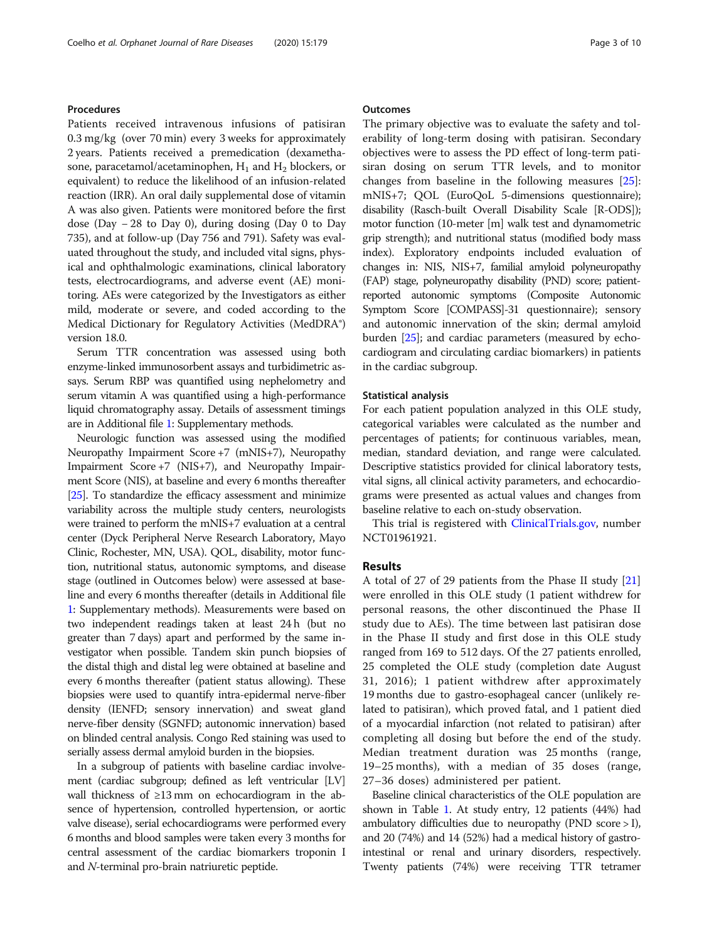#### Procedures

Patients received intravenous infusions of patisiran 0.3 mg/kg (over 70 min) every 3 weeks for approximately 2 years. Patients received a premedication (dexamethasone, paracetamol/acetaminophen,  $H_1$  and  $H_2$  blockers, or equivalent) to reduce the likelihood of an infusion-related reaction (IRR). An oral daily supplemental dose of vitamin A was also given. Patients were monitored before the first dose (Day − 28 to Day 0), during dosing (Day 0 to Day 735), and at follow-up (Day 756 and 791). Safety was evaluated throughout the study, and included vital signs, physical and ophthalmologic examinations, clinical laboratory tests, electrocardiograms, and adverse event (AE) monitoring. AEs were categorized by the Investigators as either mild, moderate or severe, and coded according to the Medical Dictionary for Regulatory Activities (MedDRA®) version 18.0.

Serum TTR concentration was assessed using both enzyme-linked immunosorbent assays and turbidimetric assays. Serum RBP was quantified using nephelometry and serum vitamin A was quantified using a high-performance liquid chromatography assay. Details of assessment timings are in Additional file [1](#page-8-0): Supplementary methods.

Neurologic function was assessed using the modified Neuropathy Impairment Score +7 (mNIS+7), Neuropathy Impairment Score +7 (NIS+7), and Neuropathy Impairment Score (NIS), at baseline and every 6 months thereafter [[25](#page-9-0)]. To standardize the efficacy assessment and minimize variability across the multiple study centers, neurologists were trained to perform the mNIS+7 evaluation at a central center (Dyck Peripheral Nerve Research Laboratory, Mayo Clinic, Rochester, MN, USA). QOL, disability, motor function, nutritional status, autonomic symptoms, and disease stage (outlined in Outcomes below) were assessed at baseline and every 6 months thereafter (details in Additional file [1](#page-8-0): Supplementary methods). Measurements were based on two independent readings taken at least 24 h (but no greater than 7 days) apart and performed by the same investigator when possible. Tandem skin punch biopsies of the distal thigh and distal leg were obtained at baseline and every 6 months thereafter (patient status allowing). These biopsies were used to quantify intra-epidermal nerve-fiber density (IENFD; sensory innervation) and sweat gland nerve-fiber density (SGNFD; autonomic innervation) based on blinded central analysis. Congo Red staining was used to serially assess dermal amyloid burden in the biopsies.

In a subgroup of patients with baseline cardiac involvement (cardiac subgroup; defined as left ventricular [LV] wall thickness of ≥13 mm on echocardiogram in the absence of hypertension, controlled hypertension, or aortic valve disease), serial echocardiograms were performed every 6 months and blood samples were taken every 3 months for central assessment of the cardiac biomarkers troponin I and N-terminal pro-brain natriuretic peptide.

#### **Outcomes**

The primary objective was to evaluate the safety and tolerability of long-term dosing with patisiran. Secondary objectives were to assess the PD effect of long-term patisiran dosing on serum TTR levels, and to monitor changes from baseline in the following measures [\[25](#page-9-0)]: mNIS+7; QOL (EuroQoL 5-dimensions questionnaire); disability (Rasch-built Overall Disability Scale [R-ODS]); motor function (10-meter [m] walk test and dynamometric grip strength); and nutritional status (modified body mass index). Exploratory endpoints included evaluation of changes in: NIS, NIS+7, familial amyloid polyneuropathy (FAP) stage, polyneuropathy disability (PND) score; patientreported autonomic symptoms (Composite Autonomic Symptom Score [COMPASS]-31 questionnaire); sensory and autonomic innervation of the skin; dermal amyloid burden [\[25\]](#page-9-0); and cardiac parameters (measured by echocardiogram and circulating cardiac biomarkers) in patients in the cardiac subgroup.

#### Statistical analysis

For each patient population analyzed in this OLE study, categorical variables were calculated as the number and percentages of patients; for continuous variables, mean, median, standard deviation, and range were calculated. Descriptive statistics provided for clinical laboratory tests, vital signs, all clinical activity parameters, and echocardiograms were presented as actual values and changes from baseline relative to each on-study observation.

This trial is registered with [ClinicalTrials.gov,](http://clinicaltrials.gov) number NCT01961921.

### Results

A total of 27 of 29 patients from the Phase II study [[21](#page-9-0)] were enrolled in this OLE study (1 patient withdrew for personal reasons, the other discontinued the Phase II study due to AEs). The time between last patisiran dose in the Phase II study and first dose in this OLE study ranged from 169 to 512 days. Of the 27 patients enrolled, 25 completed the OLE study (completion date August 31, 2016); 1 patient withdrew after approximately 19 months due to gastro-esophageal cancer (unlikely related to patisiran), which proved fatal, and 1 patient died of a myocardial infarction (not related to patisiran) after completing all dosing but before the end of the study. Median treatment duration was 25 months (range, 19–25 months), with a median of 35 doses (range, 27–36 doses) administered per patient.

Baseline clinical characteristics of the OLE population are shown in Table [1](#page-3-0). At study entry, 12 patients (44%) had ambulatory difficulties due to neuropathy (PND score > I), and 20 (74%) and 14 (52%) had a medical history of gastrointestinal or renal and urinary disorders, respectively. Twenty patients (74%) were receiving TTR tetramer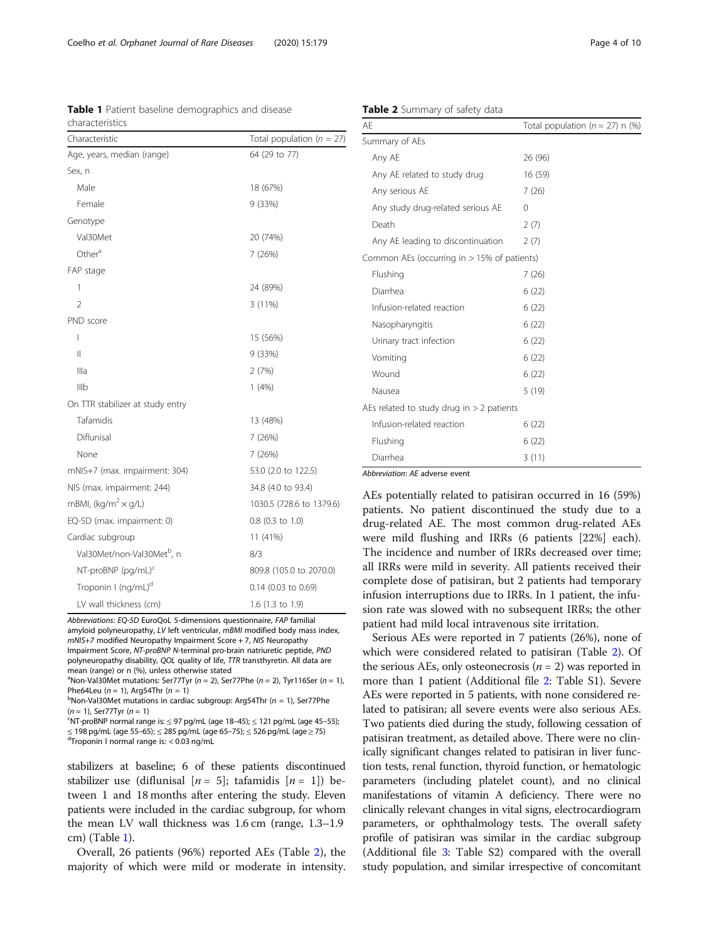<span id="page-3-0"></span>Coelho et al. Orphanet Journal of Rare Diseases (2020) 15:179 Page 4 of 10

Table 1 Patient baseline demographics and disease characteristics

| Characteristic                         | Total population ( $n = 27$ ) |  |  |  |
|----------------------------------------|-------------------------------|--|--|--|
| Age, years, median (range)             | 64 (29 to 77)                 |  |  |  |
| Sex, n                                 |                               |  |  |  |
| Male                                   | 18 (67%)                      |  |  |  |
| Female                                 | 9 (33%)                       |  |  |  |
| Genotype                               |                               |  |  |  |
| Val30Met                               | 20 (74%)                      |  |  |  |
| Other <sup>a</sup>                     | 7 (26%)                       |  |  |  |
| FAP stage                              |                               |  |  |  |
| 1                                      | 24 (89%)                      |  |  |  |
| $\mathfrak{D}$                         | 3(11%)                        |  |  |  |
| PND score                              |                               |  |  |  |
| I                                      | 15 (56%)                      |  |  |  |
| $\mathsf{II}$                          | 9 (33%)                       |  |  |  |
| Illa                                   | 2(7%)                         |  |  |  |
| Illb                                   | 1(4%)                         |  |  |  |
| On TTR stabilizer at study entry       |                               |  |  |  |
| Tafamidis                              | 13 (48%)                      |  |  |  |
| Diflunisal                             | 7 (26%)                       |  |  |  |
| None                                   | 7 (26%)                       |  |  |  |
| mNIS+7 (max. impairment: 304)          | 53.0 (2.0 to 122.5)           |  |  |  |
| NIS (max. impairment: 244)             | 34.8 (4.0 to 93.4)            |  |  |  |
| mBMI, (kg/m <sup>2</sup> $\times$ g/L) | 1030.5 (728.6 to 1379.6)      |  |  |  |
| EQ-5D (max. impairment: 0)             | $0.8$ (0.3 to 1.0)            |  |  |  |
| Cardiac subgroup                       | 11 (41%)                      |  |  |  |
| Val30Met/non-Val30Met <sup>b</sup> , n | 8/3                           |  |  |  |
| $NT-proBNP$ (pg/mL) <sup>c</sup>       | 809.8 (105.0 to 2070.0)       |  |  |  |
| Troponin I (ng/mL) <sup>d</sup>        | 0.14 (0.03 to 0.69)           |  |  |  |
| LV wall thickness (cm)                 | 1.6 (1.3 to 1.9)              |  |  |  |

Abbreviations: EQ-5D EuroQoL 5-dimensions questionnaire, FAP familial amyloid polyneuropathy, LV left ventricular, mBMI modified body mass index, mNIS+7 modified Neuropathy Impairment Score + 7, NIS Neuropathy Impairment Score, NT-proBNP N-terminal pro-brain natriuretic peptide, PND polyneuropathy disability, QOL quality of life, TTR transthyretin. All data are mean (range) or n (%), unless otherwise stated

<sup>a</sup>Non-Val30Met mutations: Ser77Tyr ( $n = 2$ ), Ser77Phe ( $n = 2$ ), Tyr116Ser ( $n = 1$ ), Phe64Leu ( $n = 1$ ), Arg54Thr ( $n = 1$ )

 $b$ Non-Val30Met mutations in cardiac subgroup: Arg54Thr ( $n = 1$ ), Ser77Phe  $(n = 1)$ , Ser77Tyr  $(n = 1)$ 

 $\text{N}$ T-proBNP normal range is:  $\leq$  97 pg/mL (age 18-45);  $\leq$  121 pg/mL (age 45-55);  $\leq$  198 pg/mL (age 55–65);  $\leq$  285 pg/mL (age 65–75);  $\leq$  526 pg/mL (age  $\geq$  75)

 $d$ Troponin I normal range is: < 0.03 ng/mL

stabilizers at baseline; 6 of these patients discontinued stabilizer use (diflunisal  $[n = 5]$ ; tafamidis  $[n = 1]$ ) between 1 and 18 months after entering the study. Eleven patients were included in the cardiac subgroup, for whom the mean LV wall thickness was 1.6 cm (range, 1.3–1.9 cm) (Table 1).

Overall, 26 patients (96%) reported AEs (Table 2), the majority of which were mild or moderate in intensity.

Table 2 Summary of safety data

| AE                                             | Total population ( $n = 27$ ) n (%) |
|------------------------------------------------|-------------------------------------|
| Summary of AEs                                 |                                     |
| Any AE                                         | 26 (96)                             |
| Any AE related to study drug                   | 16 (59)                             |
| Any serious AE                                 | 7(26)                               |
| Any study drug-related serious AE              | $\Omega$                            |
| Death                                          | 2(7)                                |
| Any AE leading to discontinuation              | 2(7)                                |
| Common AEs (occurring in $> 15\%$ of patients) |                                     |
| Flushing                                       | 7(26)                               |
| Diarrhea                                       | 6(22)                               |
| Infusion-related reaction                      | 6(22)                               |
| Nasopharyngitis                                | 6(22)                               |
| Urinary tract infection                        | 6(22)                               |
| Vomiting                                       | 6(22)                               |
| Wound                                          | 6(22)                               |
| Nausea                                         | 5 (19)                              |
| AEs related to study drug in $>$ 2 patients    |                                     |
| Infusion-related reaction                      | 6(22)                               |
| Flushing                                       | 6(22)                               |
| Diarrhea                                       | 3(11)                               |

Abbreviation: AE adverse event

AEs potentially related to patisiran occurred in 16 (59%) patients. No patient discontinued the study due to a drug-related AE. The most common drug-related AEs were mild flushing and IRRs (6 patients [22%] each). The incidence and number of IRRs decreased over time; all IRRs were mild in severity. All patients received their complete dose of patisiran, but 2 patients had temporary infusion interruptions due to IRRs. In 1 patient, the infusion rate was slowed with no subsequent IRRs; the other patient had mild local intravenous site irritation.

Serious AEs were reported in 7 patients (26%), none of which were considered related to patisiran (Table 2). Of the serious AEs, only osteonecrosis  $(n = 2)$  was reported in more than 1 patient (Additional file [2:](#page-8-0) Table S1). Severe AEs were reported in 5 patients, with none considered related to patisiran; all severe events were also serious AEs. Two patients died during the study, following cessation of patisiran treatment, as detailed above. There were no clinically significant changes related to patisiran in liver function tests, renal function, thyroid function, or hematologic parameters (including platelet count), and no clinical manifestations of vitamin A deficiency. There were no clinically relevant changes in vital signs, electrocardiogram parameters, or ophthalmology tests. The overall safety profile of patisiran was similar in the cardiac subgroup (Additional file [3](#page-8-0): Table S2) compared with the overall study population, and similar irrespective of concomitant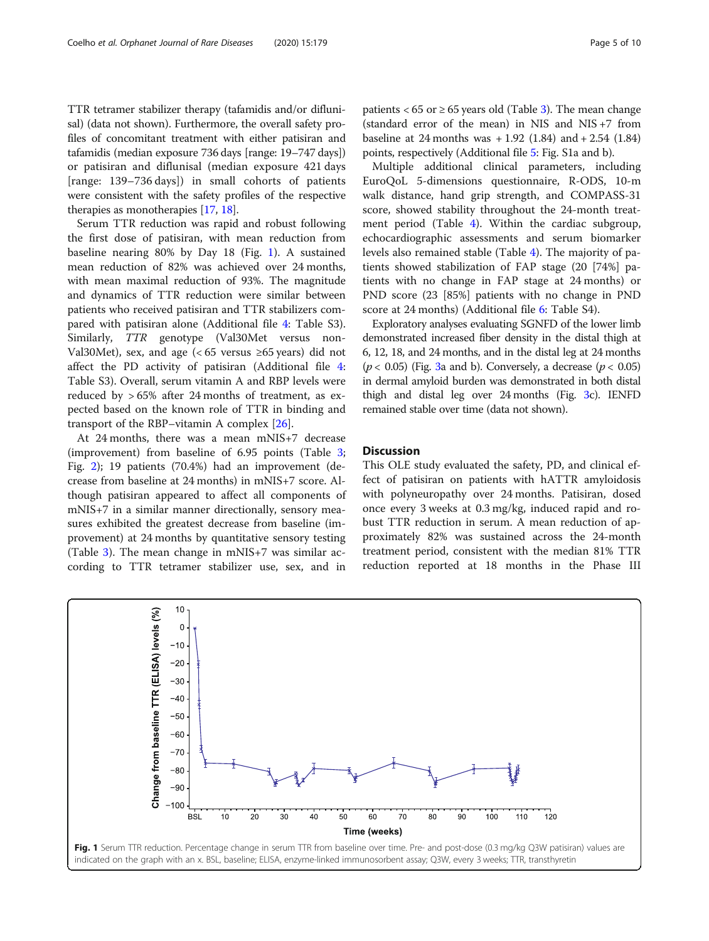TTR tetramer stabilizer therapy (tafamidis and/or diflunisal) (data not shown). Furthermore, the overall safety profiles of concomitant treatment with either patisiran and tafamidis (median exposure 736 days [range: 19–747 days]) or patisiran and diflunisal (median exposure 421 days [range: 139–736 days]) in small cohorts of patients were consistent with the safety profiles of the respective therapies as monotherapies [\[17](#page-9-0), [18](#page-9-0)].

Serum TTR reduction was rapid and robust following the first dose of patisiran, with mean reduction from baseline nearing 80% by Day 18 (Fig. 1). A sustained mean reduction of 82% was achieved over 24 months, with mean maximal reduction of 93%. The magnitude and dynamics of TTR reduction were similar between patients who received patisiran and TTR stabilizers compared with patisiran alone (Additional file [4](#page-8-0): Table S3). Similarly, TTR genotype (Val30Met versus non-Val30Met), sex, and age  $(< 65$  versus ≥65 years) did not affect the PD activity of patisiran (Additional file [4](#page-8-0): Table S3). Overall, serum vitamin A and RBP levels were reduced by > 65% after 24 months of treatment, as expected based on the known role of TTR in binding and transport of the RBP–vitamin A complex [[26\]](#page-9-0).

At 24 months, there was a mean mNIS+7 decrease (improvement) from baseline of 6.95 points (Table [3](#page-5-0); Fig. [2](#page-5-0)); 19 patients (70.4%) had an improvement (decrease from baseline at 24 months) in mNIS+7 score. Although patisiran appeared to affect all components of mNIS+7 in a similar manner directionally, sensory measures exhibited the greatest decrease from baseline (improvement) at 24 months by quantitative sensory testing (Table [3](#page-5-0)). The mean change in mNIS+7 was similar according to TTR tetramer stabilizer use, sex, and in patients <  $65$  or  $\geq 65$  years old (Table [3](#page-5-0)). The mean change (standard error of the mean) in NIS and NIS +7 from baseline at 24 months was  $+1.92$  (1.84) and  $+2.54$  (1.84) points, respectively (Additional file [5:](#page-8-0) Fig. S1a and b).

Multiple additional clinical parameters, including EuroQoL 5-dimensions questionnaire, R-ODS, 10-m walk distance, hand grip strength, and COMPASS-31 score, showed stability throughout the 24-month treatment period (Table [4\)](#page-6-0). Within the cardiac subgroup, echocardiographic assessments and serum biomarker levels also remained stable (Table [4](#page-6-0)). The majority of patients showed stabilization of FAP stage (20 [74%] patients with no change in FAP stage at 24 months) or PND score (23 [85%] patients with no change in PND score at 24 months) (Additional file [6:](#page-8-0) Table S4).

Exploratory analyses evaluating SGNFD of the lower limb demonstrated increased fiber density in the distal thigh at 6, 12, 18, and 24 months, and in the distal leg at 24 months  $(p < 0.05)$  (Fig. [3](#page-7-0)a and b). Conversely, a decrease  $(p < 0.05)$ in dermal amyloid burden was demonstrated in both distal thigh and distal leg over 24 months (Fig. [3](#page-7-0)c). IENFD remained stable over time (data not shown).

#### **Discussion**

This OLE study evaluated the safety, PD, and clinical effect of patisiran on patients with hATTR amyloidosis with polyneuropathy over 24 months. Patisiran, dosed once every 3 weeks at 0.3 mg/kg, induced rapid and robust TTR reduction in serum. A mean reduction of approximately 82% was sustained across the 24-month treatment period, consistent with the median 81% TTR reduction reported at 18 months in the Phase III

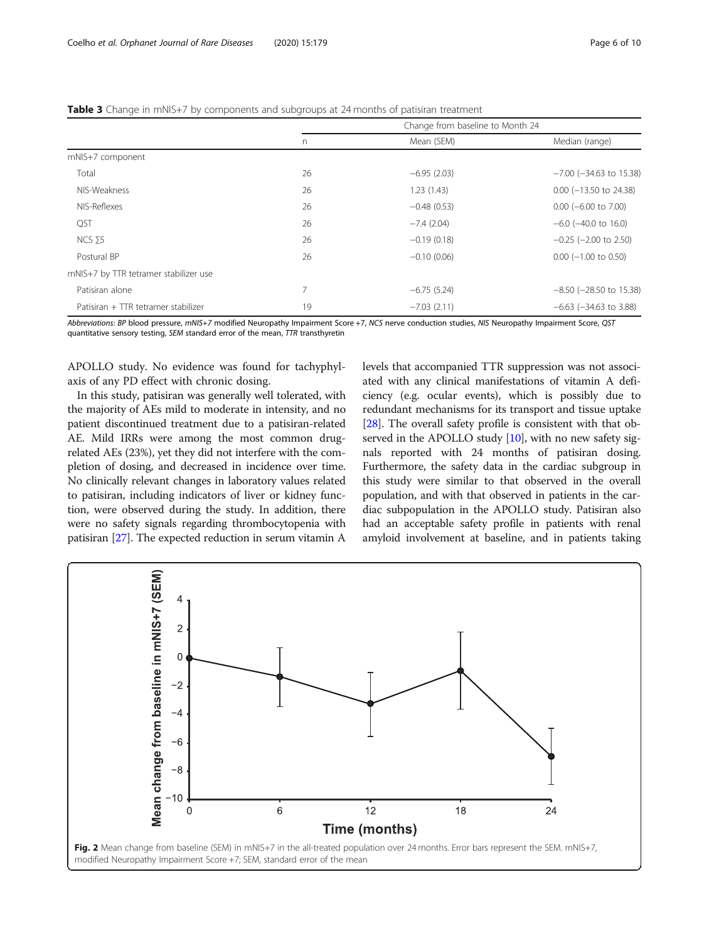<span id="page-5-0"></span>

| Table 3 Change in mNIS+7 by components and subgroups at 24 months of patisiran treatment |  |
|------------------------------------------------------------------------------------------|--|
|------------------------------------------------------------------------------------------|--|

|                                       | Change from baseline to Month 24 |               |                              |  |
|---------------------------------------|----------------------------------|---------------|------------------------------|--|
|                                       | n.                               | Mean (SEM)    | Median (range)               |  |
| mNIS+7 component                      |                                  |               |                              |  |
| Total                                 | 26                               | $-6.95(2.03)$ | $-7.00$ ( $-34.63$ to 15.38) |  |
| NIS-Weakness                          | 26                               | 1.23(1.43)    | $0.00$ (-13.50 to 24.38)     |  |
| NIS-Reflexes                          | 26                               | $-0.48(0.53)$ | $0.00$ (-6.00 to 7.00)       |  |
| <b>QST</b>                            | 26                               | $-7.4(2.04)$  | $-6.0$ ( $-40.0$ to 16.0)    |  |
| NCS <sub>75</sub>                     | 26                               | $-0.19(0.18)$ | $-0.25$ ( $-2.00$ to 2.50)   |  |
| Postural BP                           | 26                               | $-0.10(0.06)$ | $0.00$ (-1.00 to 0.50)       |  |
| mNIS+7 by TTR tetramer stabilizer use |                                  |               |                              |  |
| Patisiran alone                       | $\overline{7}$                   | $-6.75(5.24)$ | $-8.50$ ( $-28.50$ to 15.38) |  |
| Patisiran + TTR tetramer stabilizer   | 19                               | $-7.03(2.11)$ | $-6.63$ ( $-34.63$ to 3.88)  |  |
|                                       |                                  |               |                              |  |

Abbreviations: BP blood pressure, mNIS+7 modified Neuropathy Impairment Score +7, NCS nerve conduction studies, NIS Neuropathy Impairment Score, QST quantitative sensory testing, SEM standard error of the mean, TTR transthyretin

APOLLO study. No evidence was found for tachyphylaxis of any PD effect with chronic dosing.

In this study, patisiran was generally well tolerated, with the majority of AEs mild to moderate in intensity, and no patient discontinued treatment due to a patisiran-related AE. Mild IRRs were among the most common drugrelated AEs (23%), yet they did not interfere with the completion of dosing, and decreased in incidence over time. No clinically relevant changes in laboratory values related to patisiran, including indicators of liver or kidney function, were observed during the study. In addition, there were no safety signals regarding thrombocytopenia with patisiran [[27\]](#page-9-0). The expected reduction in serum vitamin A levels that accompanied TTR suppression was not associated with any clinical manifestations of vitamin A deficiency (e.g. ocular events), which is possibly due to redundant mechanisms for its transport and tissue uptake [[28](#page-9-0)]. The overall safety profile is consistent with that ob-served in the APOLLO study [\[10\]](#page-9-0), with no new safety signals reported with 24 months of patisiran dosing. Furthermore, the safety data in the cardiac subgroup in this study were similar to that observed in the overall population, and with that observed in patients in the cardiac subpopulation in the APOLLO study. Patisiran also had an acceptable safety profile in patients with renal amyloid involvement at baseline, and in patients taking

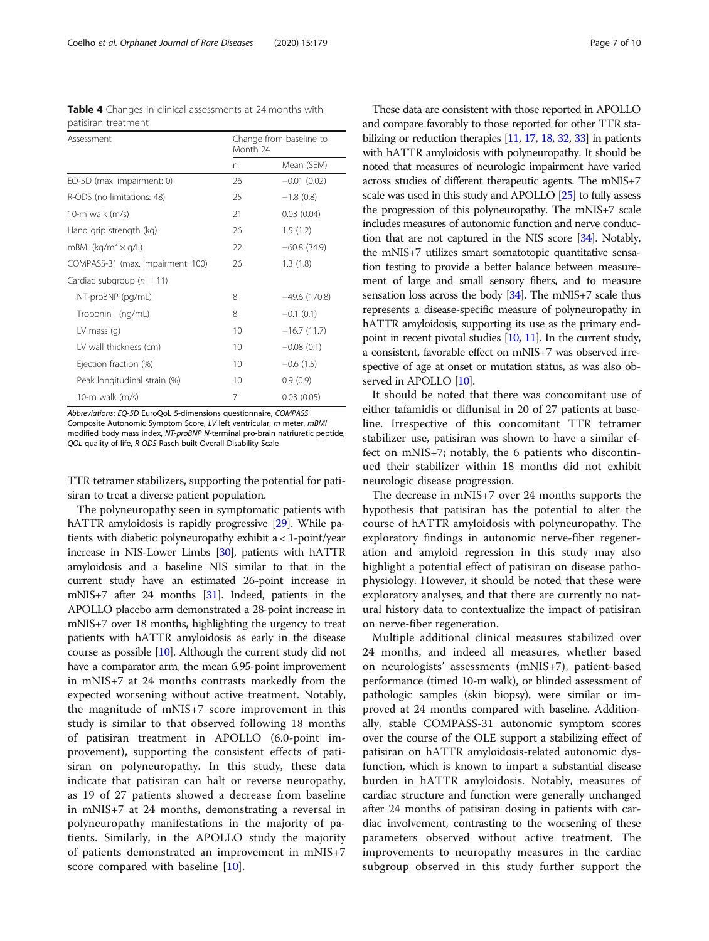<span id="page-6-0"></span>

|                     |  | Table 4 Changes in clinical assessments at 24 months with |  |  |
|---------------------|--|-----------------------------------------------------------|--|--|
| patisiran treatment |  |                                                           |  |  |

| Assessment                            | Change from baseline to<br>Month 24 |                |  |  |
|---------------------------------------|-------------------------------------|----------------|--|--|
|                                       | n                                   | Mean (SEM)     |  |  |
| EQ-5D (max. impairment: 0)            | 26                                  | $-0.01(0.02)$  |  |  |
| R-ODS (no limitations: 48)            | 25                                  | $-1.8(0.8)$    |  |  |
| 10-m walk $(m/s)$                     | 21                                  | 0.03(0.04)     |  |  |
| Hand grip strength (kg)               | 26                                  | 1.5(1.2)       |  |  |
| mBMI (kg/m <sup>2</sup> $\times$ g/L) | 22                                  | $-60.8(34.9)$  |  |  |
| COMPASS-31 (max. impairment: 100)     | 26                                  | 1.3(1.8)       |  |  |
| Cardiac subgroup ( $n = 11$ )         |                                     |                |  |  |
| NT-proBNP (pg/mL)                     | 8                                   | $-49.6(170.8)$ |  |  |
| Troponin I (ng/mL)                    | 8                                   | $-0.1(0.1)$    |  |  |
| LV mass $(q)$                         | 10                                  | $-16.7(11.7)$  |  |  |
| LV wall thickness (cm)                | 10                                  | $-0.08(0.1)$   |  |  |
| Ejection fraction (%)                 | 10                                  | $-0.6(1.5)$    |  |  |
| Peak longitudinal strain (%)          | 10                                  | 0.9(0.9)       |  |  |
| 10-m walk (m/s)                       | 7                                   | 0.03(0.05)     |  |  |

Abbreviations: EQ-5D EuroQoL 5-dimensions questionnaire, COMPASS

Composite Autonomic Symptom Score, LV left ventricular, m meter, mBMI modified body mass index, NT-proBNP N-terminal pro-brain natriuretic peptide, QOL quality of life, R-ODS Rasch-built Overall Disability Scale

TTR tetramer stabilizers, supporting the potential for patisiran to treat a diverse patient population.

The polyneuropathy seen in symptomatic patients with hATTR amyloidosis is rapidly progressive [[29](#page-9-0)]. While patients with diabetic polyneuropathy exhibit a < 1-point/year increase in NIS-Lower Limbs [\[30\]](#page-9-0), patients with hATTR amyloidosis and a baseline NIS similar to that in the current study have an estimated 26-point increase in mNIS+7 after 24 months [\[31\]](#page-9-0). Indeed, patients in the APOLLO placebo arm demonstrated a 28-point increase in mNIS+7 over 18 months, highlighting the urgency to treat patients with hATTR amyloidosis as early in the disease course as possible [\[10\]](#page-9-0). Although the current study did not have a comparator arm, the mean 6.95-point improvement in mNIS+7 at 24 months contrasts markedly from the expected worsening without active treatment. Notably, the magnitude of mNIS+7 score improvement in this study is similar to that observed following 18 months of patisiran treatment in APOLLO (6.0-point improvement), supporting the consistent effects of patisiran on polyneuropathy. In this study, these data indicate that patisiran can halt or reverse neuropathy, as 19 of 27 patients showed a decrease from baseline in mNIS+7 at 24 months, demonstrating a reversal in polyneuropathy manifestations in the majority of patients. Similarly, in the APOLLO study the majority of patients demonstrated an improvement in mNIS+7 score compared with baseline [\[10](#page-9-0)].

These data are consistent with those reported in APOLLO and compare favorably to those reported for other TTR stabilizing or reduction therapies [[11](#page-9-0), [17](#page-9-0), [18](#page-9-0), [32](#page-9-0), [33](#page-9-0)] in patients with hATTR amyloidosis with polyneuropathy. It should be noted that measures of neurologic impairment have varied across studies of different therapeutic agents. The mNIS+7 scale was used in this study and APOLLO [\[25](#page-9-0)] to fully assess the progression of this polyneuropathy. The mNIS+7 scale includes measures of autonomic function and nerve conduction that are not captured in the NIS score [[34](#page-9-0)]. Notably, the mNIS+7 utilizes smart somatotopic quantitative sensation testing to provide a better balance between measurement of large and small sensory fibers, and to measure sensation loss across the body [\[34](#page-9-0)]. The mNIS+7 scale thus represents a disease-specific measure of polyneuropathy in hATTR amyloidosis, supporting its use as the primary endpoint in recent pivotal studies [[10,](#page-9-0) [11](#page-9-0)]. In the current study, a consistent, favorable effect on mNIS+7 was observed irrespective of age at onset or mutation status, as was also ob-served in APOLLO [\[10](#page-9-0)].

It should be noted that there was concomitant use of either tafamidis or diflunisal in 20 of 27 patients at baseline. Irrespective of this concomitant TTR tetramer stabilizer use, patisiran was shown to have a similar effect on mNIS+7; notably, the 6 patients who discontinued their stabilizer within 18 months did not exhibit neurologic disease progression.

The decrease in mNIS+7 over 24 months supports the hypothesis that patisiran has the potential to alter the course of hATTR amyloidosis with polyneuropathy. The exploratory findings in autonomic nerve-fiber regeneration and amyloid regression in this study may also highlight a potential effect of patisiran on disease pathophysiology. However, it should be noted that these were exploratory analyses, and that there are currently no natural history data to contextualize the impact of patisiran on nerve-fiber regeneration.

Multiple additional clinical measures stabilized over 24 months, and indeed all measures, whether based on neurologists' assessments (mNIS+7), patient-based performance (timed 10-m walk), or blinded assessment of pathologic samples (skin biopsy), were similar or improved at 24 months compared with baseline. Additionally, stable COMPASS-31 autonomic symptom scores over the course of the OLE support a stabilizing effect of patisiran on hATTR amyloidosis-related autonomic dysfunction, which is known to impart a substantial disease burden in hATTR amyloidosis. Notably, measures of cardiac structure and function were generally unchanged after 24 months of patisiran dosing in patients with cardiac involvement, contrasting to the worsening of these parameters observed without active treatment. The improvements to neuropathy measures in the cardiac subgroup observed in this study further support the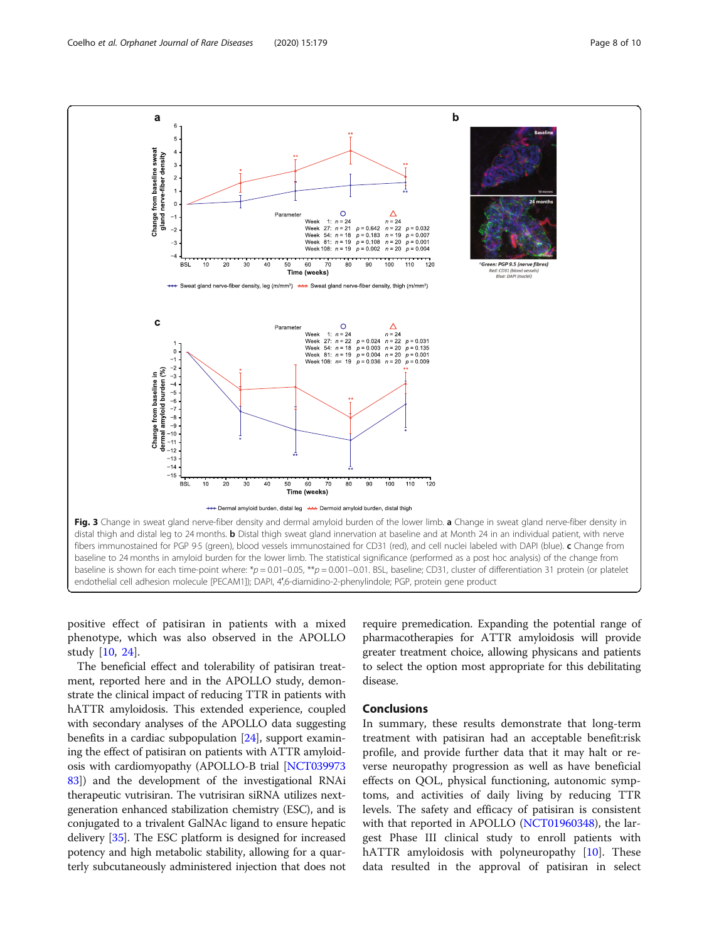<span id="page-7-0"></span>

positive effect of patisiran in patients with a mixed phenotype, which was also observed in the APOLLO study [\[10](#page-9-0), [24](#page-9-0)].

The beneficial effect and tolerability of patisiran treatment, reported here and in the APOLLO study, demonstrate the clinical impact of reducing TTR in patients with hATTR amyloidosis. This extended experience, coupled with secondary analyses of the APOLLO data suggesting benefits in a cardiac subpopulation [\[24\]](#page-9-0), support examining the effect of patisiran on patients with ATTR amyloidosis with cardiomyopathy (APOLLO-B trial [\[NCT039973](https://clinicaltrials.gov/ct2/show/NCT03997383?term=NCT03997383&draw=2&rank=1) [83](https://clinicaltrials.gov/ct2/show/NCT03997383?term=NCT03997383&draw=2&rank=1)]) and the development of the investigational RNAi therapeutic vutrisiran. The vutrisiran siRNA utilizes nextgeneration enhanced stabilization chemistry (ESC), and is conjugated to a trivalent GalNAc ligand to ensure hepatic delivery [\[35\]](#page-9-0). The ESC platform is designed for increased potency and high metabolic stability, allowing for a quarterly subcutaneously administered injection that does not require premedication. Expanding the potential range of pharmacotherapies for ATTR amyloidosis will provide greater treatment choice, allowing physicans and patients to select the option most appropriate for this debilitating disease.

#### **Conclusions**

In summary, these results demonstrate that long-term treatment with patisiran had an acceptable benefit:risk profile, and provide further data that it may halt or reverse neuropathy progression as well as have beneficial effects on QOL, physical functioning, autonomic symptoms, and activities of daily living by reducing TTR levels. The safety and efficacy of patisiran is consistent with that reported in APOLLO ([NCT01960348\)](https://clinicaltrials.gov/ct2/show/NCT01960348?term=NCT01960348&draw=2&rank=1), the largest Phase III clinical study to enroll patients with hATTR amyloidosis with polyneuropathy [[10\]](#page-9-0). These data resulted in the approval of patisiran in select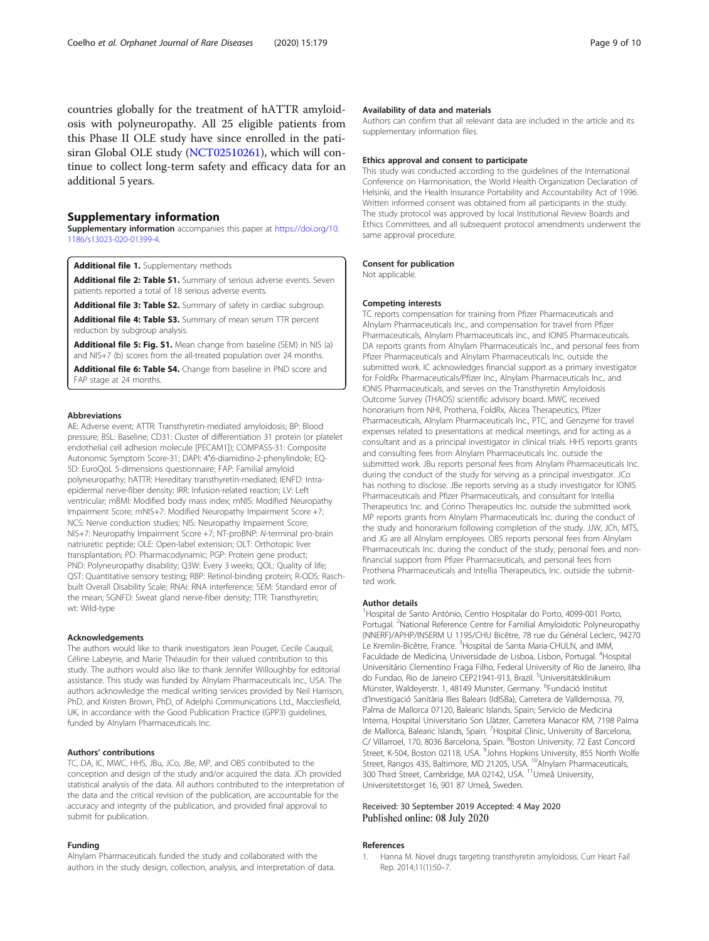<span id="page-8-0"></span>countries globally for the treatment of hATTR amyloidosis with polyneuropathy. All 25 eligible patients from this Phase II OLE study have since enrolled in the patisiran Global OLE study [\(NCT02510261\)](https://clinicaltrials.gov/ct2/show/NCT02510261?term=NCT02510261&draw=2&rank=1), which will continue to collect long-term safety and efficacy data for an additional 5 years.

#### Supplementary information

Supplementary information accompanies this paper at [https://doi.org/10.](https://doi.org/10.1186/s13023-020-01399-4) [1186/s13023-020-01399-4](https://doi.org/10.1186/s13023-020-01399-4).

Additional file 1. Supplementary methods

Additional file 2: Table S1. Summary of serious adverse events. Seven patients reported a total of 18 serious adverse events.

Additional file 3: Table S2. Summary of safety in cardiac subgroup.

Additional file 4: Table S3. Summary of mean serum TTR percent reduction by subgroup analysis.

Additional file 5: Fig. S1. Mean change from baseline (SEM) in NIS (a) and NIS+7 (b) scores from the all-treated population over 24 months.

Additional file 6: Table S4. Change from baseline in PND score and FAP stage at 24 months.

#### Abbreviations

AE: Adverse event; ATTR: Transthyretin-mediated amyloidosis; BP: Blood pressure; BSL: Baseline; CD31: Cluster of differentiation 31 protein (or platelet endothelial cell adhesion molecule [PECAM1]); COMPASS-31: Composite Autonomic Symptom Score-31; DAPI: 4′;6-diamidino-2-phenylindole; EQ-5D: EuroQoL 5-dimensions questionnaire; FAP: Familial amyloid polyneuropathy; hATTR: Hereditary transthyretin-mediated; IENFD: Intraepidermal nerve-fiber density; IRR: Infusion-related reaction; LV: Left ventricular; mBMI: Modified body mass index; mNIS: Modified Neuropathy Impairment Score; mNIS+7: Modified Neuropathy Impairment Score +7; NCS: Nerve conduction studies; NIS: Neuropathy Impairment Score; NIS+7: Neuropathy Impairment Score +7; NT-proBNP: N-terminal pro-brain natriuretic peptide; OLE: Open-label extension; OLT: Orthotopic liver transplantation; PD: Pharmacodynamic; PGP: Protein gene product; PND: Polyneuropathy disability; Q3W: Every 3 weeks; QOL: Quality of life; QST: Quantitative sensory testing; RBP: Retinol-binding protein; R-ODS: Raschbuilt Overall Disability Scale; RNAi: RNA interference; SEM: Standard error of the mean; SGNFD: Sweat gland nerve-fiber density; TTR: Transthyretin; wt: Wild-type

#### Acknowledgements

The authors would like to thank investigators Jean Pouget, Cecile Cauquil, Céline Labeyrie, and Marie Théaudin for their valued contribution to this study. The authors would also like to thank Jennifer Willoughby for editorial assistance. This study was funded by Alnylam Pharmaceuticals Inc., USA. The authors acknowledge the medical writing services provided by Neil Harrison, PhD, and Kristen Brown, PhD, of Adelphi Communications Ltd., Macclesfield, UK, in accordance with the Good Publication Practice (GPP3) guidelines, funded by Alnylam Pharmaceuticals Inc.

#### Authors' contributions

TC, DA, IC, MWC, HHS, JBu, JCo, JBe, MP, and OBS contributed to the conception and design of the study and/or acquired the data. JCh provided statistical analysis of the data. All authors contributed to the interpretation of the data and the critical revision of the publication, are accountable for the accuracy and integrity of the publication, and provided final approval to submit for publication.

#### Funding

Alnylam Pharmaceuticals funded the study and collaborated with the authors in the study design, collection, analysis, and interpretation of data.

#### Availability of data and materials

Authors can confirm that all relevant data are included in the article and its supplementary information files.

#### Ethics approval and consent to participate

This study was conducted according to the guidelines of the International Conference on Harmonisation, the World Health Organization Declaration of Helsinki, and the Health Insurance Portability and Accountability Act of 1996. Written informed consent was obtained from all participants in the study. The study protocol was approved by local Institutional Review Boards and Ethics Committees, and all subsequent protocol amendments underwent the same approval procedure.

#### Consent for publication

Not applicable.

#### Competing interests

TC reports compensation for training from Pfizer Pharmaceuticals and Alnylam Pharmaceuticals Inc., and compensation for travel from Pfizer Pharmaceuticals, Alnylam Pharmaceuticals Inc., and IONIS Pharmaceuticals. DA reports grants from Alnylam Pharmaceuticals Inc., and personal fees from Pfizer Pharmaceuticals and Alnylam Pharmaceuticals Inc. outside the submitted work. IC acknowledges financial support as a primary investigator for FoldRx Pharmaceuticals/Pfizer Inc., Alnylam Pharmaceuticals Inc., and IONIS Pharmaceuticals, and serves on the Transthyretin Amyloidosis Outcome Survey (THAOS) scientific advisory board. MWC received honorarium from NHI, Prothena, FoldRx, Akcea Therapeutics, Pfizer Pharmaceuticals, Alnylam Pharmaceuticals Inc., PTC, and Genzyme for travel expenses related to presentations at medical meetings, and for acting as a consultant and as a principal investigator in clinical trials. HHS reports grants and consulting fees from Alnylam Pharmaceuticals Inc. outside the submitted work. JBu reports personal fees from Alnylam Pharmaceuticals Inc. during the conduct of the study for serving as a principal investigator. JCo has nothing to disclose. JBe reports serving as a study investigator for IONIS Pharmaceuticals and Pfizer Pharmaceuticals, and consultant for Intellia Therapeutics Inc. and Corino Therapeutics Inc. outside the submitted work. MP reports grants from Alnylam Pharmaceuticals Inc. during the conduct of the study and honorarium following completion of the study. JJW, JCh, MTS, and JG are all Alnylam employees. OBS reports personal fees from Alnylam Pharmaceuticals Inc. during the conduct of the study, personal fees and nonfinancial support from Pfizer Pharmaceuticals, and personal fees from Prothena Pharmaceuticals and Intellia Therapeutics, Inc. outside the submitted work.

#### Author details

<sup>1</sup>Hospital de Santo António, Centro Hospitalar do Porto, 4099-001 Porto Portugal. <sup>2</sup>National Reference Centre for Familial Amyloidotic Polyneuropathy (NNERF)/APHP/INSERM U 1195/CHU Bicêtre, 78 rue du Général Leclerc, 94270 Le Kremlin-Bicêtre, France. <sup>3</sup>Hospital de Santa Maria-CHULN, and IMM, Faculdade de Medicina, Universidade de Lisboa, Lisbon, Portugal. <sup>4</sup>Hospital Universitário Clementino Fraga Filho, Federal University of Rio de Janeiro, Ilha do Fundao, Rio de Janeiro CEP21941-913, Brazil. <sup>5</sup>Universitätsklinikum Münster, Waldeyerstr. 1, 48149 Munster, Germany. <sup>6</sup>Fundació Institut d'Investigació Sanitària Illes Balears (IdISBa), Carretera de Valldemossa, 79, Palma de Mallorca 07120, Balearic Islands, Spain; Servicio de Medicina Interna, Hospital Universitario Son Llàtzer, Carretera Manacor KM, 7198 Palma de Mallorca, Balearic Islands, Spain. <sup>7</sup> Hospital Clinic, University of Barcelona, C/ Villarroel, 170, 8036 Barcelona, Spain. <sup>8</sup>Boston University, 72 East Concord Street, K-504, Boston 02118, USA. <sup>9</sup>Johns Hopkins University, 855 North Wolfe Street, Rangos 435, Baltimore, MD 21205, USA. <sup>10</sup>Alnylam Pharmaceuticals, 300 Third Street, Cambridge, MA 02142, USA. <sup>11</sup>Umeå University, Universitetstorget 16, 901 87 Umeå, Sweden.

#### Received: 30 September 2019 Accepted: 4 May 2020 Published online: 08 July 2020

#### References

1. Hanna M. Novel drugs targeting transthyretin amyloidosis. Curr Heart Fail Rep. 2014;11(1):50–7.